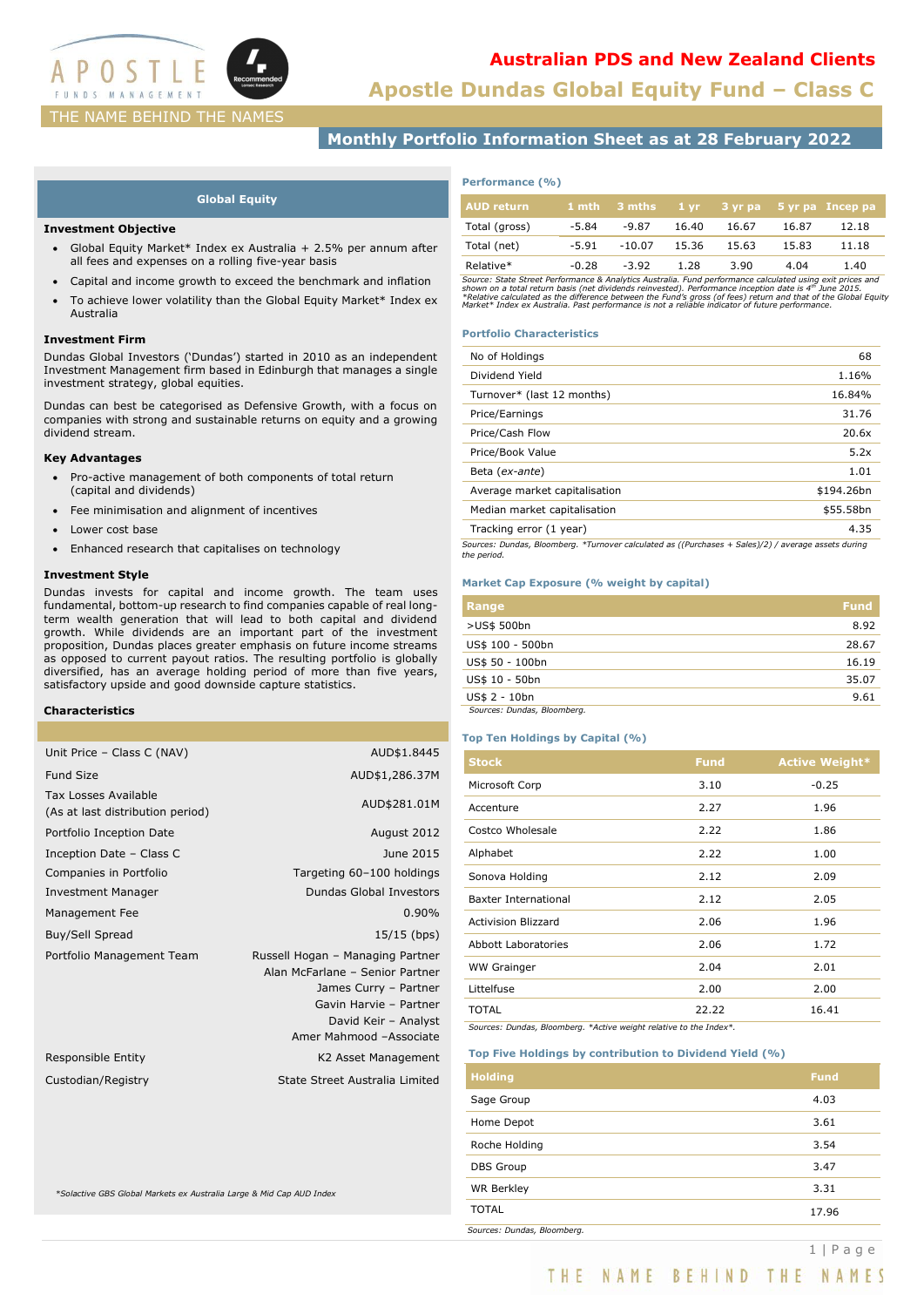

# **Apostle Dundas Global Equity Fund – Class C Australian PDS and New Zealand Clients**

# **Monthly Portfolio Information Sheet as at 28 February 2022**

### **Global Equity**

### **Investment Objective**

- Global Equity Market\* Index ex Australia + 2.5% per annum after all fees and expenses on a rolling five-year basis
- Capital and income growth to exceed the benchmark and inflation
- To achieve lower volatility than the Global Equity Market\* Index ex Australia

### **Investment Firm**

Dundas Global Investors ('Dundas') started in 2010 as an independent Investment Management firm based in Edinburgh that manages a single investment strategy, global equities.

Dundas can best be categorised as Defensive Growth, with a focus on companies with strong and sustainable returns on equity and a growing dividend stream.

### **Key Advantages**

- Pro-active management of both components of total return (capital and dividends)
- Fee minimisation and alignment of incentives
- Lower cost base
- Enhanced research that capitalises on technology

### **Investment Style**

Dundas invests for capital and income growth. The team uses fundamental, bottom-up research to find companies capable of real longterm wealth generation that will lead to both capital and dividend growth. While dividends are an important part of the investment proposition, Dundas places greater emphasis on future income streams as opposed to current payout ratios. The resulting portfolio is globally diversified, has an average holding period of more than five years, satisfactory upside and good downside capture statistics.

### **Characteristics**

| Unit Price - Class C (NAV)                               | AUD\$1.8445                                                                                                                                                               |
|----------------------------------------------------------|---------------------------------------------------------------------------------------------------------------------------------------------------------------------------|
| <b>Fund Size</b>                                         | AUD\$1,286.37M                                                                                                                                                            |
| Tax Losses Available<br>(As at last distribution period) | AUD\$281.01M                                                                                                                                                              |
| Portfolio Inception Date                                 | August 2012                                                                                                                                                               |
| Inception Date - Class C                                 | June 2015                                                                                                                                                                 |
| Companies in Portfolio                                   | Targeting 60-100 holdings                                                                                                                                                 |
| <b>Investment Manager</b>                                | Dundas Global Investors                                                                                                                                                   |
| Management Fee                                           | 0.90%                                                                                                                                                                     |
| Buy/Sell Spread                                          | 15/15 (bps)                                                                                                                                                               |
| Portfolio Management Team                                | Russell Hogan - Managing Partner<br>Alan McFarlane - Senior Partner<br>James Curry - Partner<br>Gavin Harvie - Partner<br>David Keir - Analyst<br>Amer Mahmood -Associate |
| Responsible Entity                                       | K2 Asset Management                                                                                                                                                       |
| Custodian/Registry                                       | State Street Australia Limited                                                                                                                                            |
|                                                          |                                                                                                                                                                           |

*\*Solactive GBS Global Markets ex Australia Large & Mid Cap AUD Index*

### **Performance (%)**

| AUD return    |         |          |       |       |       | 1 mth 3 mths 1 yr 3 yr pa 5 yr pa Incep pa |
|---------------|---------|----------|-------|-------|-------|--------------------------------------------|
| Total (gross) | $-5.84$ | $-9.87$  | 16.40 | 16.67 | 16.87 | 12.18                                      |
| Total (net)   | $-5.91$ | $-10.07$ | 15.36 | 15.63 | 15.83 | 11.18                                      |
| Relative*     | $-0.28$ | $-3.92$  | 1.28  | 3.90  | 4.04  | 1.40                                       |

Source: State Street Performance & Analytics Australia. Fund performance calculated using exit prices and<br>shown on a total return basis (net dividends reinvested). Performance inception date is 4<sup>16</sup> June 2015.<br>\*Relative c

### **Portfolio Characteristics**

| No of Holdings                                                                                      | 68         |
|-----------------------------------------------------------------------------------------------------|------------|
| Dividend Yield                                                                                      | 1.16%      |
| Turnover* (last 12 months)                                                                          | 16.84%     |
| Price/Earnings                                                                                      | 31.76      |
| Price/Cash Flow                                                                                     | 20.6x      |
| Price/Book Value                                                                                    | 5.2x       |
| Beta (ex-ante)                                                                                      | 1.01       |
| Average market capitalisation                                                                       | \$194.26bn |
| Median market capitalisation                                                                        | \$55.58bn  |
| Tracking error (1 year)                                                                             | 4.35       |
| Cources: Dundas, Bloomberg, *Turnover calculated as ((Durchases + Sales)(2) / average assets during |            |

*Sources: Dundas, Bloomberg. \*Turnover calculated as ((Purchases + Sales)/2) / average assets during the period.*

### **Market Cap Exposure (% weight by capital)**

| Range                       | <b>Fund</b> |
|-----------------------------|-------------|
| >US\$ 500bn                 | 8.92        |
| US\$ 100 - 500bn            | 28.67       |
| US\$ 50 - 100bn             | 16.19       |
| US\$ 10 - 50bn              | 35.07       |
| US\$ 2 - 10bn               | 9.61        |
| Sources: Dundas, Bloomberg. |             |

### **Top Ten Holdings by Capital (%)**

| <b>Stock</b>               | <b>Fund</b> | <b>Active Weight*</b> |
|----------------------------|-------------|-----------------------|
| Microsoft Corp             | 3.10        | $-0.25$               |
| Accenture                  | 2.27        | 1.96                  |
| Costco Wholesale           | 2.22        | 1.86                  |
| Alphabet                   | 2.22        | 1.00                  |
| Sonova Holding             | 2.12        | 2.09                  |
| Baxter International       | 2.12        | 2.05                  |
| <b>Activision Blizzard</b> | 2.06        | 1.96                  |
| <b>Abbott Laboratories</b> | 2.06        | 1.72                  |
| <b>WW Grainger</b>         | 2.04        | 2.01                  |
| Littelfuse                 | 2.00        | 2.00                  |
| <b>TOTAL</b>               | 22.22       | 16.41                 |

*Sources: Dundas, Bloomberg. \*Active weight relative to the Index\*.*

### **Top Five Holdings by contribution to Dividend Yield (%)**

| <b>Holding</b>              | <b>Fund</b> |
|-----------------------------|-------------|
| Sage Group                  | 4.03        |
| Home Depot                  | 3.61        |
| Roche Holding               | 3.54        |
| <b>DBS Group</b>            | 3.47        |
| <b>WR Berkley</b>           | 3.31        |
| <b>TOTAL</b>                | 17.96       |
| Sources: Dundas, Bloomberg. |             |

THE NAME BEHIND THE NAMES

1 | P a g e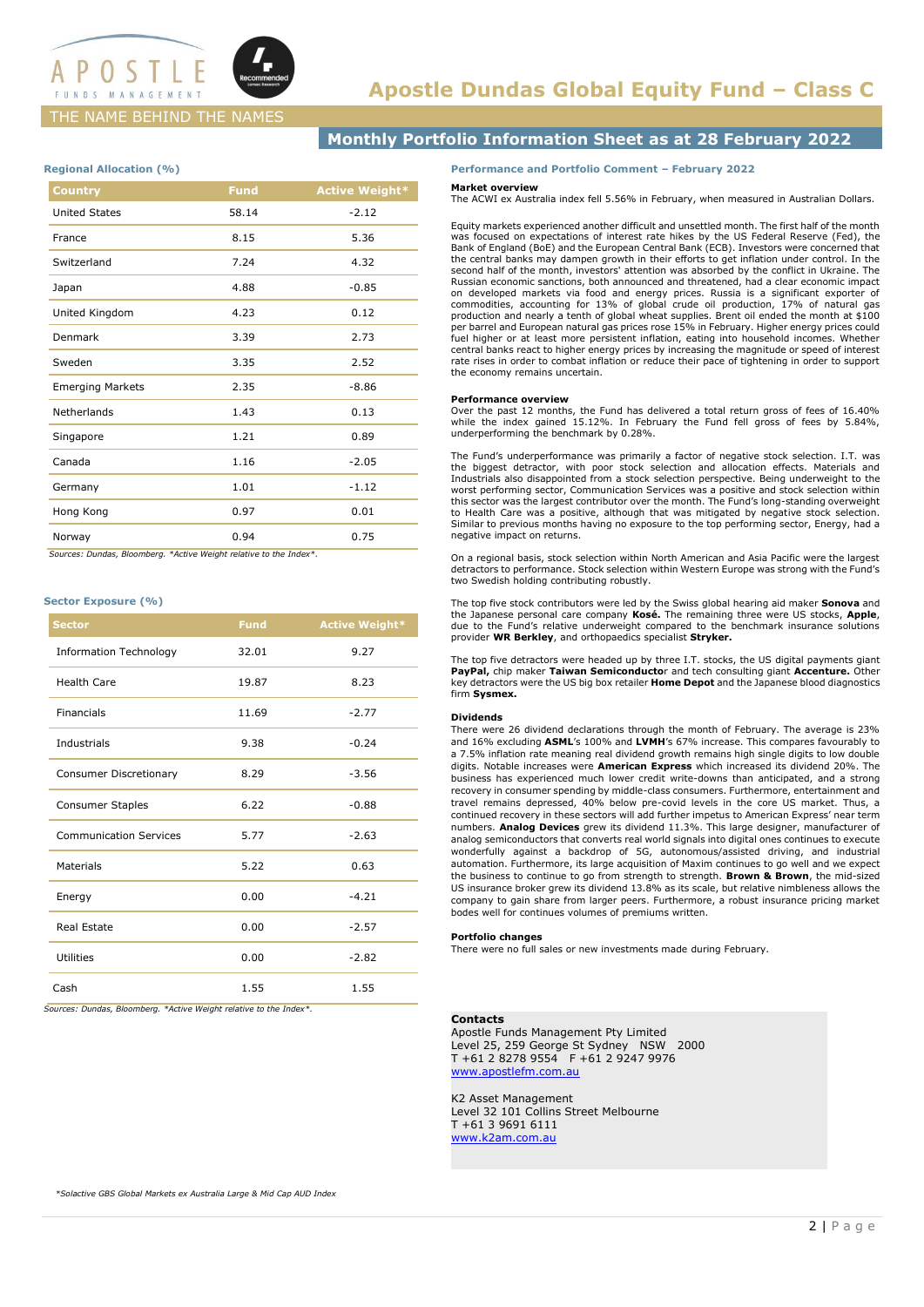

### THE NAME BEHIND THE NAMES

## **Monthly Portfolio Information Sheet as at 28 February 2022**

### **Regional Allocation (%)**

| <b>Country</b>          | <b>Fund</b> | <b>Active Weight*</b> |
|-------------------------|-------------|-----------------------|
| <b>United States</b>    | 58.14       | $-2.12$               |
| France                  | 8.15        | 5.36                  |
| Switzerland             | 7.24        | 4.32                  |
| Japan                   | 4.88        | $-0.85$               |
| United Kingdom          | 4.23        | 0.12                  |
| Denmark                 | 3.39        | 2.73                  |
| Sweden                  | 3.35        | 2.52                  |
| <b>Emerging Markets</b> | 2.35        | $-8.86$               |
| Netherlands             | 1.43        | 0.13                  |
| Singapore               | 1.21        | 0.89                  |
| Canada                  | 1.16        | $-2.05$               |
| Germany                 | 1.01        | $-1.12$               |
| Hong Kong               | 0.97        | 0.01                  |
| Norway                  | 0.94        | 0.75                  |

 *Sources: Dundas, Bloomberg. \*Active Weight relative to the Index\*.*

### **Sector Exposure (%)**

| <b>Sector</b>                 | <b>Fund</b> | <b>Active Weight*</b> |
|-------------------------------|-------------|-----------------------|
| <b>Information Technology</b> | 32.01       | 9.27                  |
| <b>Health Care</b>            | 19.87       | 8.23                  |
| <b>Financials</b>             | 11.69       | $-2.77$               |
| Industrials                   | 9.38        | $-0.24$               |
| Consumer Discretionary        | 8.29        | $-3.56$               |
| <b>Consumer Staples</b>       | 6.22        | $-0.88$               |
| <b>Communication Services</b> | 5.77        | $-2.63$               |
| <b>Materials</b>              | 5.22        | 0.63                  |
| Energy                        | 0.00        | $-4.21$               |
| <b>Real Estate</b>            | 0.00        | $-2.57$               |
| Utilities                     | 0.00        | $-2.82$               |
| Cash                          | 1.55        | 1.55                  |

*Sources: Dundas, Bloomberg. \*Active Weight relative to the Index\*.*

### **Performance and Portfolio Comment – February 2022**

### **Market overview**

The ACWI ex Australia index fell 5.56% in February, when measured in Australian Dollars.

Equity markets experienced another difficult and unsettled month. The first half of the month was focused on expectations of interest rate hikes by the US Federal Reserve (Fed), the Bank of England (BoE) and the European Central Bank (ECB). Investors were concerned that the central banks may dampen growth in their efforts to get inflation under control. In the second half of the month, investors' attention was absorbed by the conflict in Ukraine. The Russian economic sanctions, both announced and threatened, had a clear economic impact<br>on developed markets via food and energy prices. Russia is a significant exporter of<br>commodities, accounting for 13% of global crude o fuel higher or at least more persistent inflation, eating into household incomes. Whether central banks react to higher energy prices by increasing the magnitude or speed of interest rate rises in order to combat inflation or reduce their pace of tightening in order to support the economy remains uncertain.

#### **Performance overview**

Over the past 12 months, the Fund has delivered a total return gross of fees of 16.40% while the index gained 15.12%. In February the Fund fell gross of fees by 5.84%, underperforming the benchmark by 0.28%.

The Fund's underperformance was primarily a factor of negative stock selection. I.T. was the biggest detractor, with poor stock selection and allocation effects. Materials and Industrials also disappointed from a stock selection perspective. Being underweight to the worst performing sector, Communication Services was a positive and stock selection within this sector was the largest contributor over the month. The Fund's long-standing overweight to Health Care was a positive, although that was mitigated by negative stock selection. Similar to previous months having no exposure to the top performing sector, Energy, had a negative impact on returns.

On a regional basis, stock selection within North American and Asia Pacific were the largest detractors to performance. Stock selection within Western Europe was strong with the Fund's two Swedish holding contributing robustly.

The top five stock contributors were led by the Swiss global hearing aid maker **Sonova** and the Japanese personal care company **Kosé.** The remaining three were US stocks, **Apple**, due to the Fund's relative underweight compared to the benchmark insurance solutions provider **WR Berkley**, and orthopaedics specialist **Stryker.**

The top five detractors were headed up by three I.T. stocks, the US digital payments giant **PayPal,** chip maker **Taiwan Semiconducto**r and tech consulting giant **Accenture.** Other key detractors were the US big box retailer **Home Depot** and the Japanese blood diagnostics firm **Sysmex.**

### **Dividends**

There were 26 dividend declarations through the month of February. The average is 23% and 16% excluding **ASML**'s 100% and **LVMH**'s 67% increase. This compares favourably to a 7.5% inflation rate meaning real dividend growth remains high single digits to low double digits. Notable increases were **American Express** which increased its dividend 20%. The business has experienced much lower credit write-downs than anticipated, and a strong recovery in consumer spending by middle-class consumers. Furthermore, entertainment and travel remains depressed, 40% below pre-covid levels in the core US market. Thus, a continued recovery in these sectors will add further impetus to American Express' near term numbers. **Analog Devices** grew its dividend 11.3%. This large designer, manufacturer of analog semiconductors that converts real world signals into digital ones continues to execute wonderfully against a backdrop of 5G, autonomous/assisted driving, and industrial automation. Furthermore, its large acquisition of Maxim continues to go well and we expect the business to continue to go from strength to strength. **Brown & Brown**, the mid-sized US insurance broker grew its dividend 13.8% as its scale, but relative nimbleness allows the company to gain share from larger peers. Furthermore, a robust insurance pricing market bodes well for continues volumes of premiums written.

#### **Portfolio changes**

There were no full sales or new investments made during February.

### **Contacts**

Apostle Funds Management Pty Limited Level 25, 259 George St Sydney NSW 2000 T +61 2 8278 9554 F +61 2 9247 9976 [www.apostlefm.com.au](http://www.apostlefm.com.au/)

K2 Asset Management Level 32 101 Collins Street Melbourne T +61 3 9691 6111 [www.k2am.com.au](http://www.k2am.com.au/)